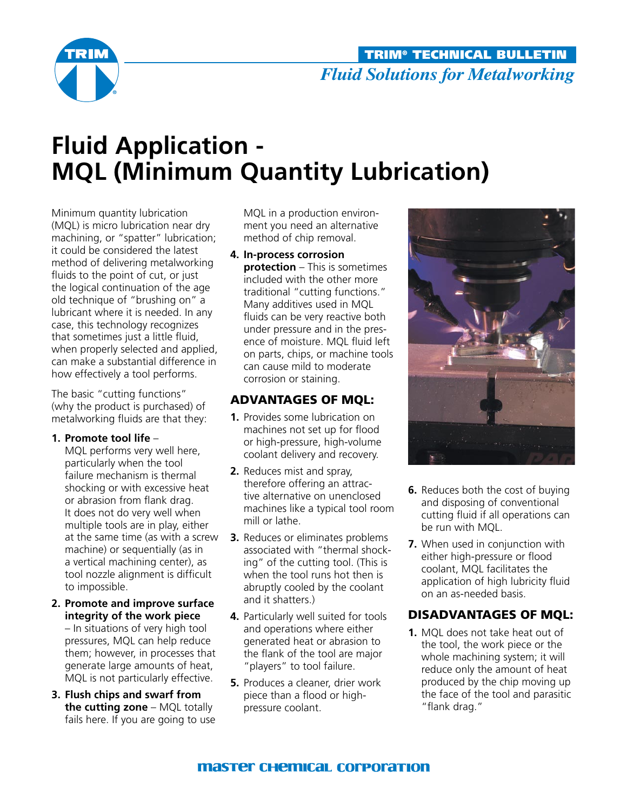

# **Fluid Application - MQL (Minimum Quantity Lubrication)**

Minimum quantity lubrication (MQL) is micro lubrication near dry machining, or "spatter" lubrication; it could be considered the latest method of delivering metalworking fluids to the point of cut, or just the logical continuation of the age old technique of "brushing on" a lubricant where it is needed. In any case, this technology recognizes that sometimes just a little fluid, when properly selected and applied, can make a substantial difference in how effectively a tool performs.

The basic "cutting functions" (why the product is purchased) of metalworking fluids are that they:

#### **1. Promote tool life** –

MQL performs very well here, particularly when the tool failure mechanism is thermal shocking or with excessive heat or abrasion from flank drag. It does not do very well when multiple tools are in play, either at the same time (as with a screw machine) or sequentially (as in a vertical machining center), as tool nozzle alignment is difficult to impossible.

- **2. Promote and improve surface integrity of the work piece** – In situations of very high tool pressures, MQL can help reduce them; however, in processes that generate large amounts of heat, MQL is not particularly effective.
- **3. Flush chips and swarf from the cutting zone** – MQL totally fails here. If you are going to use

MQL in a production environment you need an alternative method of chip removal.

**4. In-process corrosion protection** – This is sometimes included with the other more traditional "cutting functions." Many additives used in MQL fluids can be very reactive both under pressure and in the presence of moisture. MQL fluid left on parts, chips, or machine tools can cause mild to moderate corrosion or staining.

## Advantages of MQL:

- **1.** Provides some lubrication on machines not set up for flood or high-pressure, high-volume coolant delivery and recovery.
- **2.** Reduces mist and spray, therefore offering an attractive alternative on unenclosed machines like a typical tool room mill or lathe.
- **3.** Reduces or eliminates problems associated with "thermal shocking" of the cutting tool. (This is when the tool runs hot then is abruptly cooled by the coolant and it shatters.)
- **4.** Particularly well suited for tools and operations where either generated heat or abrasion to the flank of the tool are major "players" to tool failure.
- **5.** Produces a cleaner, drier work piece than a flood or highpressure coolant.



- **6.** Reduces both the cost of buying and disposing of conventional cutting fluid if all operations can be run with MQL.
- **7.** When used in conjunction with either high-pressure or flood coolant, MQL facilitates the application of high lubricity fluid on an as-needed basis.

### Disadvantages of MQL:

**1.** MQL does not take heat out of the tool, the work piece or the whole machining system; it will reduce only the amount of heat produced by the chip moving up the face of the tool and parasitic "flank drag."